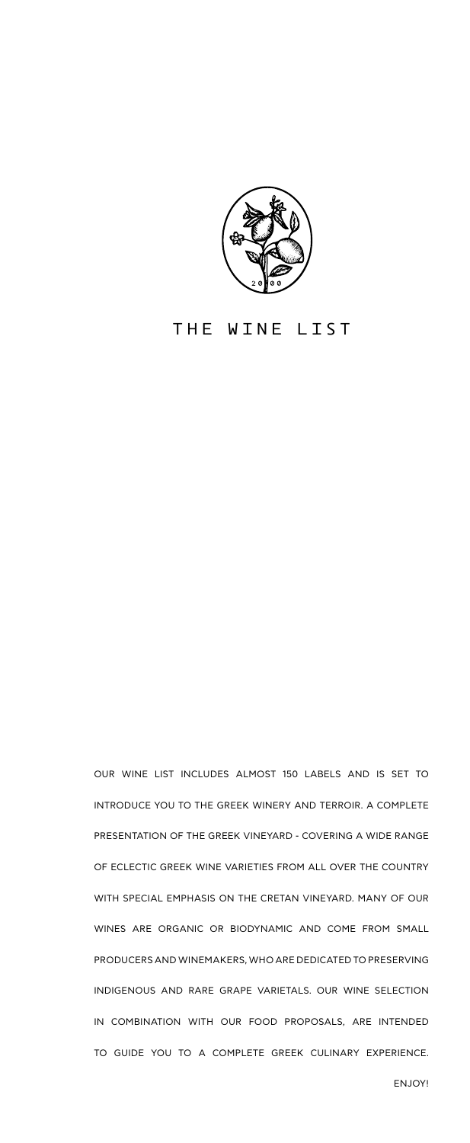

#### THE WINE LIST

OUR WINE LIST INCLUDES ALMOST 150 LABELS AND IS SET TO INTRODUCE YOU TO THE GREEK WINERY AND TERROIR. A COMPLETE PRESENTATION OF THE GREEK VINEYARD - COVERING A WIDE RANGE OF ECLECTIC GREEK WINE VARIETIES FROM ALL OVER THE COUNTRY WITH SPECIAL EMPHASIS ON THE CRETAN VINEYARD. MANY OF OUR WINES ARE ORGANIC OR BIODYNAMIC AND COME FROM SMALL PRODUCERS AND WINEMAKERS, WHO ARE DEDICATED TO PRESERVING INDIGENOUS AND RARE GRAPE VARIETALS. OUR WINE SELECTION IN COMBINATION WITH OUR FOOD PROPOSALS, ARE INTENDED TO GUIDE YOU TO A COMPLETE GREEK CULINARY EXPERIENCE.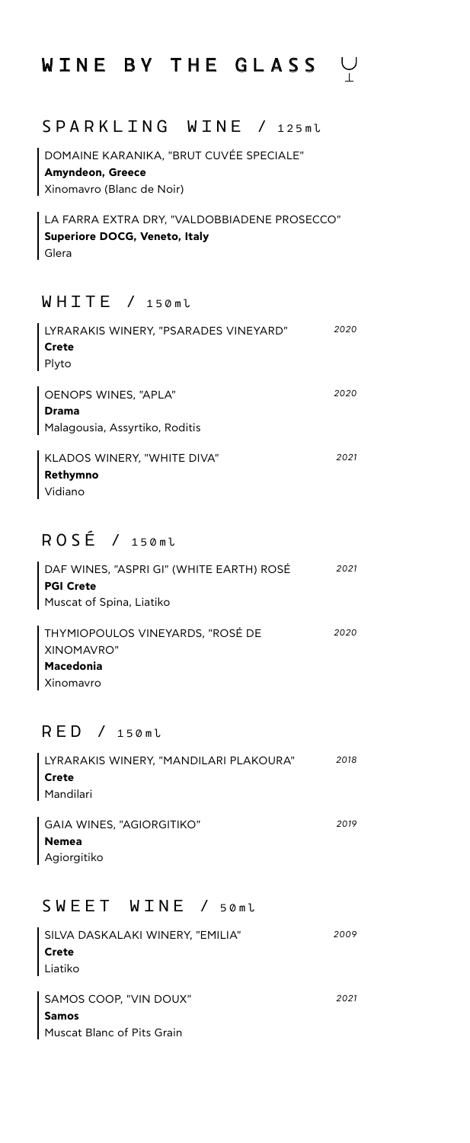# WINE BY THE GLASS V

## S P A R K L I N G W I N E / 125ml

DOMAINE KARANIKA, "BRUT CUVÉE SPECIALE" **Amyndeon, Greece** Xinomavro (Blanc de Noir)

LA FARRA EXTRA DRY, "VALDOBBIADENE PROSECCO" **Superiore DOCG, Veneto, Italy** Glera

### W H I T E / 150ml

| LYRARAKIS WINERY, "PSARADES VINEYARD" | 2020 |
|---------------------------------------|------|
| Crete                                 |      |
| Plyto                                 |      |
|                                       |      |
| OENOPS WINES, "APLA"                  | 2020 |
| <b>Drama</b>                          |      |
| Malagousia, Assyrtiko, Roditis        |      |
|                                       | 2021 |
| KLADOS WINERY, "WHITE DIVA"           |      |
| Rethymno                              |      |
| Vidiano                               |      |

## R O S É / 150ml

| Macedonia                                |      |
|------------------------------------------|------|
| XINOMAVRO"                               |      |
| THYMIOPOULOS VINEYARDS, "ROSÉ DE         | 2020 |
| Muscat of Spina, Liatiko                 |      |
| <b>PGI Crete</b>                         |      |
| DAF WINES, "ASPRI GI" (WHITE EARTH) ROSÉ | 2021 |

Xinomavro

## R E D / 150ml

| LYRARAKIS WINERY, "MANDILARI PLAKOURA" | 2018 |
|----------------------------------------|------|
| Crete                                  |      |
| Mandilari                              |      |
|                                        |      |
| GAIA WINES, "AGIORGITIKO"              | 2019 |
| <b>Nemea</b>                           |      |
| Agiorgitiko                            |      |

### SWEET WINE / 50ml

| SILVA DASKALAKI WINERY, "EMILIA" | 2009 |
|----------------------------------|------|
| Crete                            |      |
| Liatiko                          |      |
|                                  |      |
| SAMOS COOP. "VIN DOUX"           | 2021 |
| <b>Samos</b>                     |      |
| Muscat Blanc of Pits Grain       |      |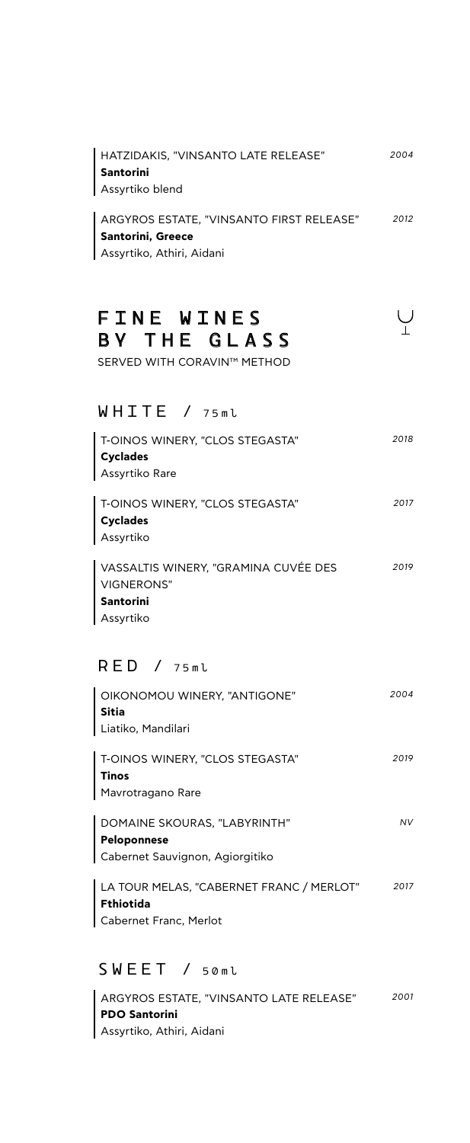| HATZIDAKIS. "VINSANTO LATE RELEASE"      | 2004 |
|------------------------------------------|------|
| Santorini                                |      |
| Assyrtiko blend                          |      |
|                                          |      |
| ARGYROS ESTATE. "VINSANTO FIRST RELEASE" | 2012 |

**Santorini, Greece** Assyrtiko, Athiri, Aidani

## FINE WINES BY THE GLASS

SERVED WITH CORAVIN™ METHOD

#### W H I T E / 75ml

| T-OINOS WINERY, "CLOS STEGASTA"<br><b>Cyclades</b><br>Assyrtiko Rare | 2018 |
|----------------------------------------------------------------------|------|
| T-OINOS WINERY, "CLOS STEGASTA"<br><b>Cyclades</b><br>Assyrtiko      | 2017 |
| VACCALTIC WINEDV "GDAMINA CLIVÉE DEC                                 | 2019 |

VASSALTIS WINERY, "GRAMINA CUVÉE DES VIGNERONS" **Santorini** Assyrtiko *2019*

#### R E D / 75ml

| OIKONOMOU WINERY, "ANTIGONE"    | 2004 |
|---------------------------------|------|
| Sitia                           |      |
| Liatiko, Mandilari              |      |
| T-OINOS WINERY, "CLOS STEGASTA" | 2019 |
| <b>Tinos</b>                    |      |

Mavrotragano Rare

DOMAINE SKOURAS, "LABYRINTH" **Peloponnese** Cabernet Sauvignon, Agiorgitiko *NV*

LA TOUR MELAS, "CABERNET FRANC / MERLOT" **Fthiotida** Cabernet Franc, Merlot *2017*

#### S W E E T / 50ml

ARGYROS ESTATE, "VINSANTO LATE RELEASE" *2001***PDO Santorini** Assyrtiko, Athiri, Aidani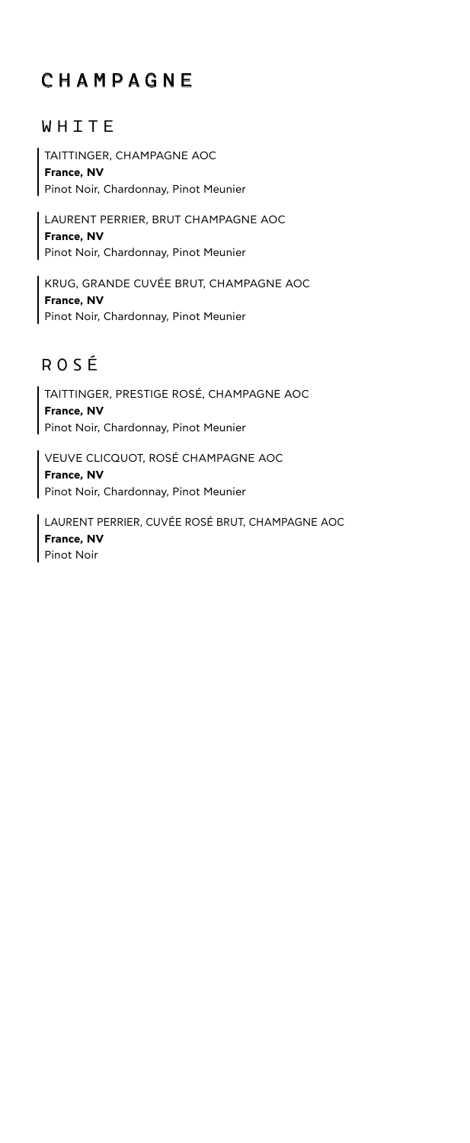## CHAMPAGNE

### WHITE

TAITTINGER, CHAMPAGNE AOC **France, NV** Pinot Noir, Chardonnay, Pinot Meunier

LAURENT PERRIER, BRUT CHAMPAGNE AOC **France, NV** Pinot Noir, Chardonnay, Pinot Meunier

KRUG, GRANDE CUVÉE BRUT, CHAMPAGNE AOC **France, NV** Pinot Noir, Chardonnay, Pinot Meunier

## ROSÉ

TAITTINGER, PRESTIGE ROSÉ, CHAMPAGNE AOC **France, NV** Pinot Noir, Chardonnay, Pinot Meunier

VEUVE CLICQUOT, ROSÉ CHAMPAGNE AOC **France, NV** Pinot Noir, Chardonnay, Pinot Meunier

LAURENT PERRIER, CUVÉE ROSÉ BRUT, CHAMPAGNE AOC **France, NV** Pinot Noir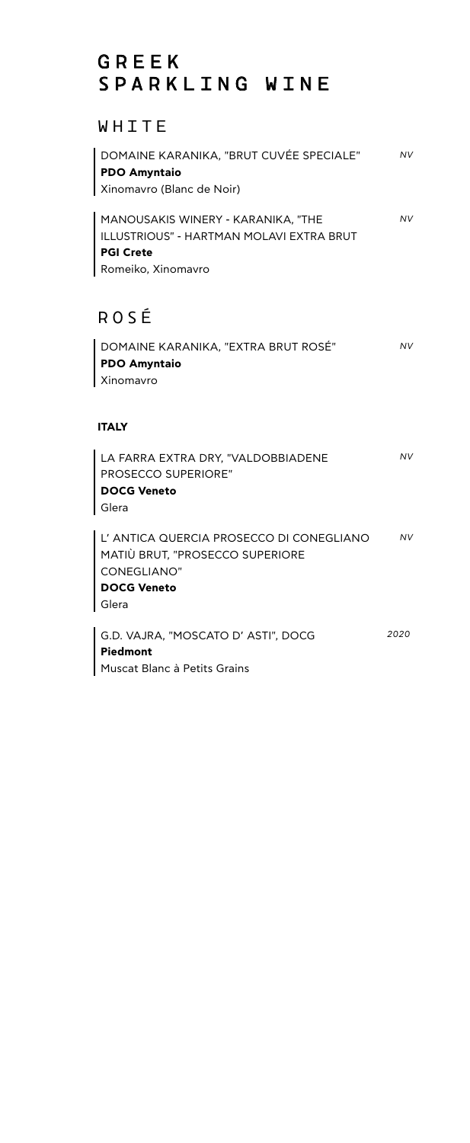## GREEK SPARKLING WINE

## WHITE

| DOMAINE KARANIKA, "BRUT CUVÉE SPECIALE"<br><b>PDO Amyntaio</b><br>Xinomavro (Blanc de Noir)                                     | <b>NV</b> |
|---------------------------------------------------------------------------------------------------------------------------------|-----------|
| MANOUSAKIS WINERY - KARANIKA, "THE<br><b>ILLUSTRIOUS" - HARTMAN MOLAVI EXTRA BRUT</b><br><b>PGI Crete</b><br>Romeiko, Xinomavro | <b>NV</b> |
| ROSÉ                                                                                                                            |           |
| DOMAINE KARANIKA, "EXTRA BRUT ROSÉ"<br><b>PDO Amyntaio</b><br>Xinomavro                                                         | NV        |
| <b>ITALY</b>                                                                                                                    |           |
| LA FARRA EXTRA DRY, "VALDOBBIADENE<br><b>PROSECCO SUPERIORE"</b><br><b>DOCG Veneto</b><br>Glera                                 | NV        |
| L' ANTICA QUERCIA PROSECCO DI CONEGLIANO<br>MATIÙ BRUT, "PROSECCO SUPERIORE<br>CONEGLIANO"<br><b>DOCG Veneto</b><br>Glera       | <b>NV</b> |
| G.D. VAJRA, "MOSCATO D' ASTI", DOCG<br>Piedmont                                                                                 | 2020      |
| Muscat Blanc à Petits Grains                                                                                                    |           |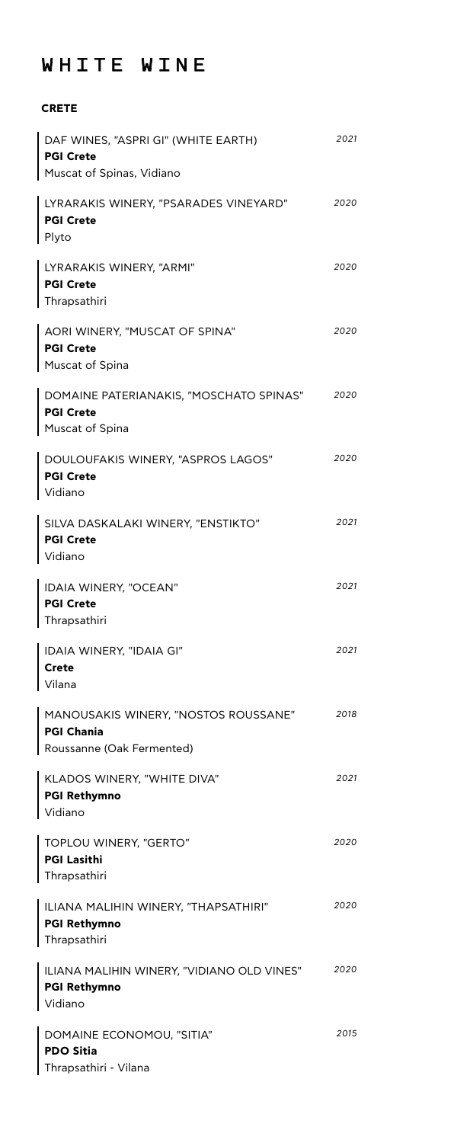## WHITE WINE

**CRETE**

| DAF WINES, "ASPRI GI" (WHITE EARTH)<br><b>PGI Crete</b><br>Muscat of Spinas, Vidiano   | 2021 |
|----------------------------------------------------------------------------------------|------|
| LYRARAKIS WINERY, "PSARADES VINEYARD"<br><b>PGI Crete</b><br>Plyto                     | 2020 |
| LYRARAKIS WINERY, "ARMI"<br><b>PGI Crete</b><br>Thrapsathiri                           | 2020 |
| AORI WINERY, "MUSCAT OF SPINA"<br><b>PGI Crete</b><br>Muscat of Spina                  | 2020 |
| DOMAINE PATERIANAKIS, "MOSCHATO SPINAS"<br><b>PGI Crete</b><br>Muscat of Spina         | 2020 |
| DOULOUFAKIS WINERY, "ASPROS LAGOS"<br><b>PGI Crete</b><br>Vidiano                      | 2020 |
| SILVA DASKALAKI WINERY, "ENSTIKTO"<br><b>PGI Crete</b><br>Vidiano                      | 2021 |
| IDAIA WINERY, "OCEAN"<br><b>PGI Crete</b><br>Thrapsathiri                              | 2021 |
| IDAIA WINERY, "IDAIA GI"<br><b>Crete</b><br>Vilana                                     | 2021 |
| MANOUSAKIS WINERY, "NOSTOS ROUSSANE"<br><b>PGI Chania</b><br>Roussanne (Oak Fermented) | 2018 |
| KLADOS WINERY, "WHITE DIVA"<br><b>PGI Rethymno</b><br>Vidiano                          | 2021 |
| TOPLOU WINERY, "GERTO"<br><b>PGI Lasithi</b><br>Thrapsathiri                           | 2020 |
| ILIANA MALIHIN WINERY, "THAPSATHIRI"<br><b>PGI Rethymno</b><br>Thrapsathiri            | 2020 |
| ILIANA MALIHIN WINERY, "VIDIANO OLD VINES"<br><b>PGI Rethymno</b><br>Vidiano           | 2020 |
| DOMAINE ECONOMOU, "SITIA"<br><b>PDO Sitia</b><br>Thrapsathiri - Vilana                 | 2015 |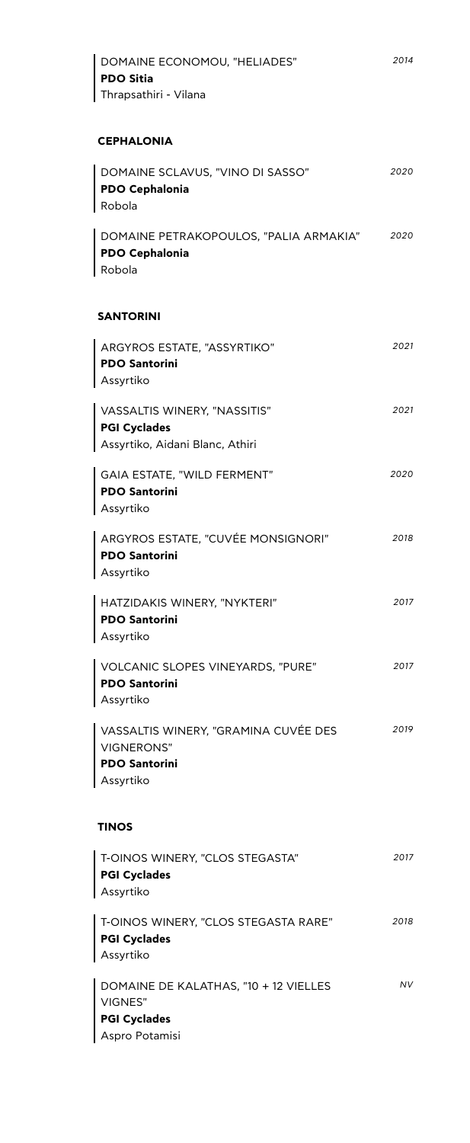| <b>PDO Sitia</b><br>Thrapsathiri - Vilana                                                 |      |
|-------------------------------------------------------------------------------------------|------|
| <b>CEPHALONIA</b>                                                                         |      |
| DOMAINE SCLAVUS, "VINO DI SASSO"<br><b>PDO Cephalonia</b><br>Robola                       | 2020 |
| DOMAINE PETRAKOPOULOS, "PALIA ARMAKIA"<br><b>PDO Cephalonia</b><br>Robola                 | 2020 |
| <b>SANTORINI</b>                                                                          |      |
| ARGYROS ESTATE, "ASSYRTIKO"<br><b>PDO Santorini</b><br>Assyrtiko                          | 2021 |
| VASSALTIS WINERY, "NASSITIS"<br>PGI Cyclades<br>Assyrtiko, Aidani Blanc, Athiri           | 2021 |
| GAIA ESTATE, "WILD FERMENT"<br><b>PDO Santorini</b><br>Assyrtiko                          | 2020 |
| ARGYROS ESTATE, "CUVÉE MONSIGNORI"<br><b>PDO Santorini</b><br>  Assyrtiko                 | 2018 |
| HATZIDAKIS WINERY, "NYKTERI"<br><b>PDO Santorini</b><br>Assyrtiko                         | 2017 |
| VOLCANIC SLOPES VINEYARDS, "PURE"<br><b>PDO Santorini</b><br>Assyrtiko                    | 2017 |
| VASSALTIS WINERY, "GRAMINA CUVÉE DES<br>VIGNERONS"<br><b>PDO Santorini</b><br>Assyrtiko   | 2019 |
| <b>TINOS</b>                                                                              |      |
| T-OINOS WINERY, "CLOS STEGASTA"<br><b>PGI Cyclades</b><br>Assyrtiko                       | 2017 |
| T-OINOS WINERY, "CLOS STEGASTA RARE"<br><b>PGI Cyclades</b><br>Assyrtiko                  | 2018 |
| DOMAINE DE KALATHAS, "10 + 12 VIELLES<br>VIGNES"<br><b>PGI Cyclades</b><br>Aspro Potamisi | NV   |

DOMAINE ECONOMOU, "HELIADES"

*2014*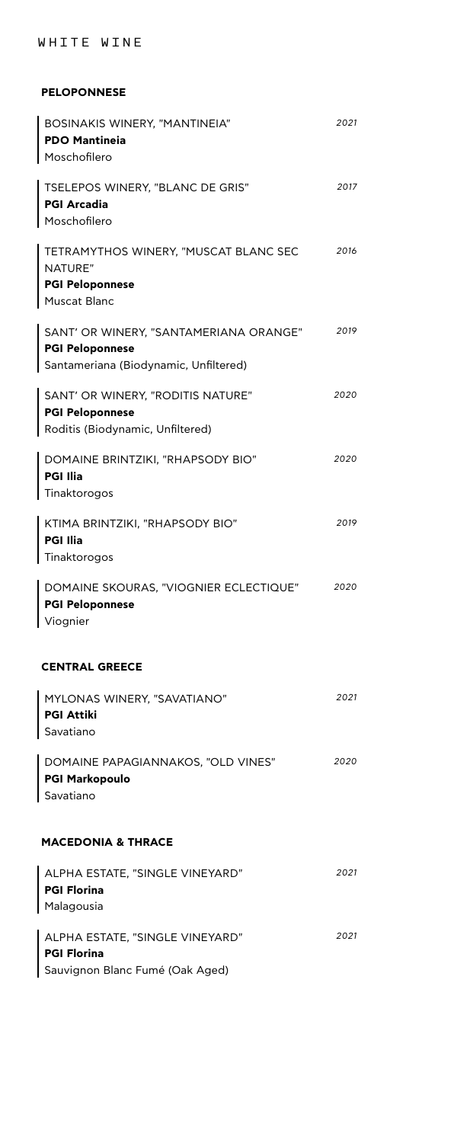#### WHITE WINE

#### **PELOPONNESE**

| BOSINAKIS WINERY, "MANTINEIA"<br><b>PDO Mantineia</b><br>Moschofilero                                     | 2021 |
|-----------------------------------------------------------------------------------------------------------|------|
| TSELEPOS WINERY, "BLANC DE GRIS"<br><b>PGI Arcadia</b><br>Moschofilero                                    | 2017 |
| TETRAMYTHOS WINERY, "MUSCAT BLANC SEC<br>NATURE"<br><b>PGI Peloponnese</b><br><b>Muscat Blanc</b>         | 2016 |
| SANT' OR WINERY, "SANTAMERIANA ORANGE"<br><b>PGI Peloponnese</b><br>Santameriana (Biodynamic, Unfiltered) | 2019 |
| SANT' OR WINERY, "RODITIS NATURE"<br><b>PGI Peloponnese</b><br>Roditis (Biodynamic, Unfiltered)           | 2020 |
| DOMAINE BRINTZIKI, "RHAPSODY BIO"<br><b>PGI Ilia</b><br>Tinaktorogos                                      | 2020 |
| KTIMA BRINTZIKI, "RHAPSODY BIO"<br><b>PGI Ilia</b><br>Tinaktorogos                                        | 2019 |
| DOMAINE SKOURAS, "VIOGNIER ECLECTIQUE"<br><b>PGI Peloponnese</b><br>Viognier                              | 2020 |
| <b>CENTRAL GREECE</b>                                                                                     |      |
| MYLONAS WINERY, "SAVATIANO"<br><b>PGI Attiki</b><br>Savatiano                                             | 2021 |
| DOMAINE PAPAGIANNAKOS, "OLD VINES"<br><b>PGI Markopoulo</b><br>Savatiano                                  | 2020 |
| <b>MACEDONIA &amp; THRACE</b>                                                                             |      |
| ALPHA ESTATE, "SINGLE VINEYARD"<br><b>PGI Florina</b><br>Malagousia                                       | 2021 |
| ALPHA ESTATE, "SINGLE VINEYARD"<br><b>PGI Florina</b><br>Sauvignon Blanc Fumé (Oak Aged)                  | 2021 |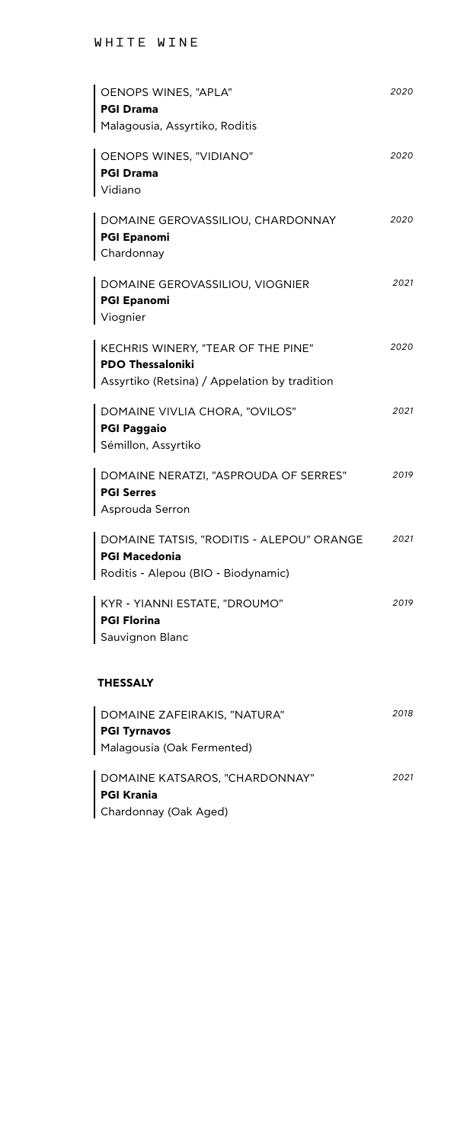| OENOPS WINES, "APLA"<br>PGI Drama                                                                                       | 2020 |
|-------------------------------------------------------------------------------------------------------------------------|------|
| Malagousia, Assyrtiko, Roditis<br>  OENOPS WINES, "VIDIANO"<br>PGI Drama<br>Vidiano                                     | 2020 |
| DOMAINE GEROVASSILIOU, CHARDONNAY<br>PGI Epanomi<br>Chardonnay                                                          | 2020 |
| DOMAINE GEROVASSILIOU, VIOGNIER<br>PGI Epanomi<br>Viognier                                                              | 2021 |
| $\mid$ KECHRIS WINERY, "TEAR OF THE PINE"<br><b>PDO Thessaloniki</b><br>  Assyrtiko (Retsina) / Appelation by tradition | 2020 |
| DOMAINE VIVLIA CHORA, "OVILOS"<br>PGI Paggaio<br>Sémillon, Assyrtiko                                                    | 2021 |
| DOMAINE NERATZI, "ASPROUDA OF SERRES"<br><b>PGI Serres</b><br>Asprouda Serron                                           | 2019 |
| DOMAINE TATSIS, "RODITIS - ALEPOU" ORANGE<br>∣ PGI Macedonia<br>Roditis - Alepou (BIO - Biodynamic)                     | 2021 |
| KYR - YIANNI ESTATE, "DROUMO"<br><b>PGI Florina</b><br>Sauvignon Blanc                                                  | 2019 |

#### **THESSALY**

| DOMAINE ZAFEIRAKIS, "NATURA"   | 2018 |
|--------------------------------|------|
| PGI Tyrnavos                   |      |
| Malagousia (Oak Fermented)     |      |
|                                |      |
| DOMAINE KATSAROS, "CHARDONNAY" | 2021 |
| PGI Krania                     |      |
| Chardonnay (Oak Aged)          |      |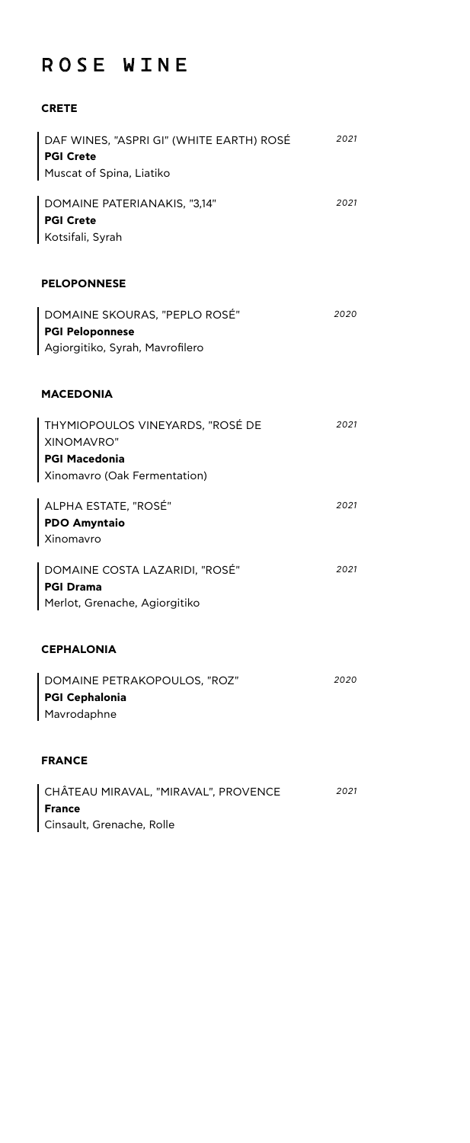## ROSE WINE

#### **CRETE**

| DAF WINES, "ASPRI GI" (WHITE EARTH) ROSÉ<br><b>PGI Crete</b>                                           | 2021 |
|--------------------------------------------------------------------------------------------------------|------|
| Muscat of Spina, Liatiko                                                                               |      |
| DOMAINE PATERIANAKIS, "3,14"<br><b>PGI Crete</b><br>Kotsifali, Syrah                                   | 2021 |
| <b>PELOPONNESE</b>                                                                                     |      |
| DOMAINE SKOURAS, "PEPLO ROSÉ"<br><b>PGI Peloponnese</b><br>Agiorgitiko, Syrah, Mavrofilero             | 2020 |
| <b>MACEDONIA</b>                                                                                       |      |
| THYMIOPOULOS VINEYARDS, "ROSÉ DE<br>XINOMAVRO"<br><b>PGI Macedonia</b><br>Xinomavro (Oak Fermentation) | 2021 |
| ALPHA ESTATE, "ROSÉ"<br><b>PDO Amyntaio</b><br>Xinomavro                                               | 2021 |
| DOMAINE COSTA LAZARIDI, "ROSÉ"<br><b>PGI Drama</b><br>Merlot, Grenache, Agiorgitiko                    | 2021 |
| <b>CEPHALONIA</b>                                                                                      |      |
| DOMAINE PETRAKOPOULOS, "ROZ"<br><b>PGI Cephalonia</b><br>Mavrodaphne                                   | 2020 |
| <b>FRANCE</b>                                                                                          |      |
| CHÂTEAU MIRAVAL, "MIRAVAL", PROVENCE<br><b>France</b><br>Cinsault, Grenache, Rolle                     | 2021 |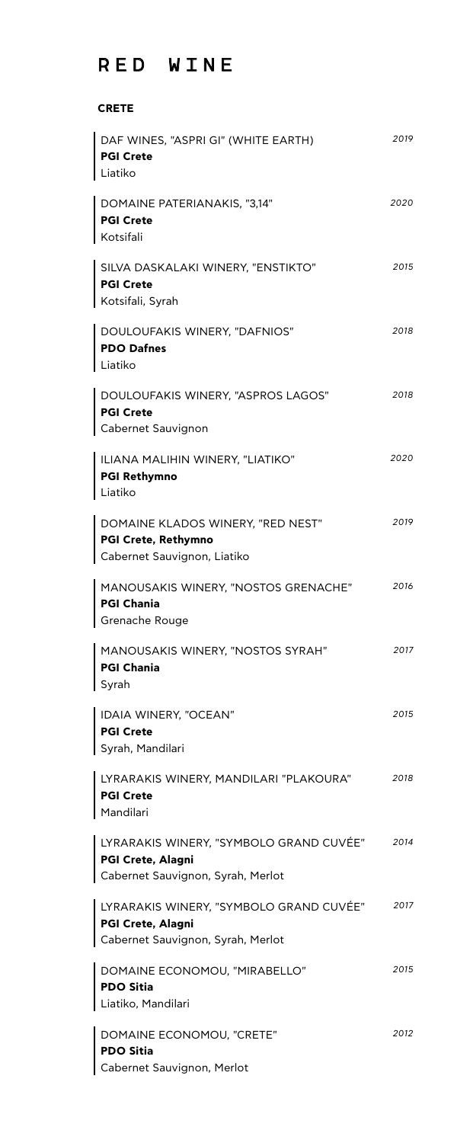## RED WINE

#### **CRETE**

| DAF WINES, "ASPRI GI" (WHITE EARTH)<br><b>PGI Crete</b><br>Liatiko                                | 2019 |
|---------------------------------------------------------------------------------------------------|------|
| DOMAINE PATERIANAKIS, "3,14"<br>PGI Crete<br>Kotsifali                                            | 2020 |
| SILVA DASKALAKI WINERY, "ENSTIKTO"<br>PGI Crete<br>Kotsifali, Syrah                               | 2015 |
| DOULOUFAKIS WINERY, "DAFNIOS"<br><b>PDO Dafnes</b><br>Liatiko                                     | 2018 |
| DOULOUFAKIS WINERY, "ASPROS LAGOS"<br>PGI Crete<br>Cabernet Sauvignon                             | 2018 |
| ILIANA MALIHIN WINERY, "LIATIKO"<br>PGI Rethymno<br>Liatiko                                       | 2020 |
| DOMAINE KLADOS WINERY, "RED NEST"<br>PGI Crete, Rethymno<br>Cabernet Sauvignon, Liatiko           | 2019 |
| MANOUSAKIS WINERY, "NOSTOS GRENACHE"<br>PGI Chania<br>Grenache Rouge                              | 2016 |
| MANOUSAKIS WINERY, "NOSTOS SYRAH"<br><b>PGI Chania</b><br>Syrah                                   | 2017 |
| IDAIA WINERY, "OCEAN"<br><b>PGI Crete</b><br>Syrah, Mandilari                                     | 2015 |
| LYRARAKIS WINERY, MANDILARI "PLAKOURA"<br><b>PGI Crete</b><br>Mandilari                           | 2018 |
| LYRARAKIS WINERY, "SYMBOLO GRAND CUVÉE"<br>PGI Crete, Alagni<br>Cabernet Sauvignon, Syrah, Merlot | 2014 |
| LYRARAKIS WINERY, "SYMBOLO GRAND CUVÉE"<br>PGI Crete, Alagni<br>Cabernet Sauvignon, Syrah, Merlot | 2017 |
| DOMAINE ECONOMOU, "MIRABELLO"<br><b>PDO Sitia</b><br>Liatiko, Mandilari                           | 2015 |
| DOMAINE ECONOMOU, "CRETE"<br><b>PDO Sitia</b><br>Cabernet Sauvignon, Merlot                       | 2012 |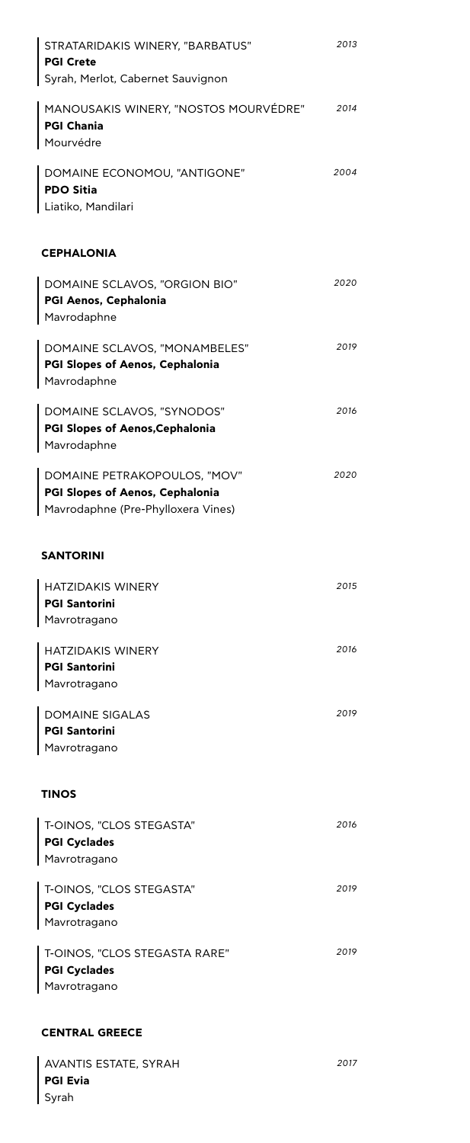| STRATARIDAKIS WINERY, "BARBATUS"<br><b>PGI Crete</b><br>Syrah, Merlot, Cabernet Sauvignon                    | 2013 |
|--------------------------------------------------------------------------------------------------------------|------|
| MANOUSAKIS WINERY, "NOSTOS MOURVÉDRE"<br><b>PGI Chania</b><br>Mourvédre                                      | 2014 |
| DOMAINE ECONOMOU, "ANTIGONE"<br><b>PDO Sitia</b><br>Liatiko, Mandilari                                       | 2004 |
| <b>CEPHALONIA</b>                                                                                            |      |
| DOMAINE SCLAVOS, "ORGION BIO"<br>PGI Aenos, Cephalonia<br>Mavrodaphne                                        | 2020 |
| DOMAINE SCLAVOS, "MONAMBELES"<br><b>PGI Slopes of Aenos, Cephalonia</b><br>Mavrodaphne                       | 2019 |
| DOMAINE SCLAVOS, "SYNODOS"<br><b>PGI Slopes of Aenos, Cephalonia</b><br>Mavrodaphne                          | 2016 |
| DOMAINE PETRAKOPOULOS, "MOV"<br><b>PGI Slopes of Aenos, Cephalonia</b><br>Mavrodaphne (Pre-Phylloxera Vines) | 2020 |
| <b>SANTORINI</b>                                                                                             |      |
| <b>HATZIDAKIS WINERY</b><br><b>PGI Santorini</b><br>Mavrotragano                                             | 2015 |
| <b>HATZIDAKIS WINERY</b><br><b>PGI Santorini</b><br>Mavrotragano                                             | 2016 |
| <b>DOMAINE SIGALAS</b><br><b>PGI Santorini</b><br>Mavrotragano                                               | 2019 |
| <b>TINOS</b>                                                                                                 |      |
| T-OINOS, "CLOS STEGASTA"<br><b>PGI Cyclades</b><br>Mavrotragano                                              | 2016 |
| T-OINOS, "CLOS STEGASTA"<br><b>PGI Cyclades</b><br>Mavrotragano                                              | 2019 |
| T-OINOS, "CLOS STEGASTA RARE"<br><b>PGI Cyclades</b><br>Mavrotragano                                         | 2019 |

#### **CENTRAL GREECE**

AVANTIS ESTATE, SYRAH **PGI Evia** Syrah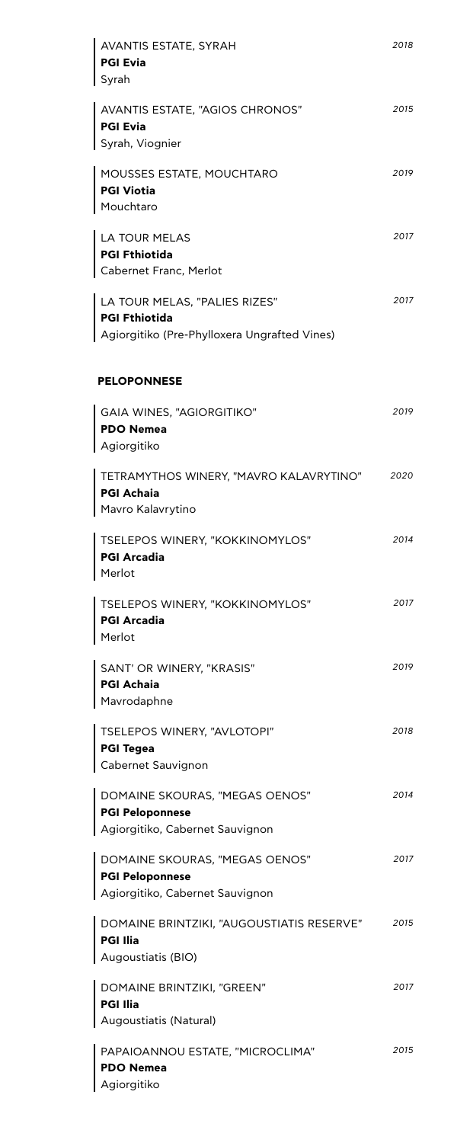| AVANTIS ESTATE, SYRAH<br><b>PGI Evia</b><br>Syrah                                                     | 2018 |
|-------------------------------------------------------------------------------------------------------|------|
| AVANTIS ESTATE, "AGIOS CHRONOS"<br><b>PGI Evia</b><br>Syrah, Viognier                                 | 2015 |
| MOUSSES ESTATE, MOUCHTARO<br><b>PGI Viotia</b><br>Mouchtaro                                           | 2019 |
| <b>LA TOUR MELAS</b><br>PGI Fthiotida<br>Cabernet Franc, Merlot                                       | 2017 |
| LA TOUR MELAS, "PALIES RIZES"<br><b>PGI Fthiotida</b><br>Agiorgitiko (Pre-Phylloxera Ungrafted Vines) | 2017 |
| <b>PELOPONNESE</b>                                                                                    |      |
| GAIA WINES, "AGIORGITIKO"<br><b>PDO Nemea</b><br>Agiorgitiko                                          | 2019 |
| TETRAMYTHOS WINERY, "MAVRO KALAVRYTINO"<br><b>PGI Achaia</b><br>Mavro Kalavrytino                     | 2020 |
| TSELEPOS WINERY, "KOKKINOMYLOS"<br><b>PGI Arcadia</b><br>Merlot                                       | 2014 |
| TSELEPOS WINERY, "KOKKINOMYLOS"<br><b>PGI Arcadia</b><br>Merlot                                       | 2017 |
| SANT' OR WINERY, "KRASIS"<br>PGI Achaia<br>Mavrodaphne                                                | 2019 |
| TSELEPOS WINERY, "AVLOTOPI"<br>PGI Tegea<br>Cabernet Sauvignon                                        | 2018 |
| DOMAINE SKOURAS, "MEGAS OENOS"<br><b>PGI Peloponnese</b><br>Agiorgitiko, Cabernet Sauvignon           | 2014 |
| DOMAINE SKOURAS, "MEGAS OENOS"<br><b>PGI Peloponnese</b><br>Agiorgitiko, Cabernet Sauvignon           | 2017 |
| DOMAINE BRINTZIKI, "AUGOUSTIATIS RESERVE"<br><b>PGI Ilia</b><br>Augoustiatis (BIO)                    | 2015 |
| DOMAINE BRINTZIKI, "GREEN"                                                                            | 2017 |
| <b>PGI Ilia</b><br>Augoustiatis (Natural)                                                             |      |
| PAPAIOANNOU ESTATE, "MICROCLIMA"<br><b>PDO Nemea</b><br>Agiorgitiko                                   | 2015 |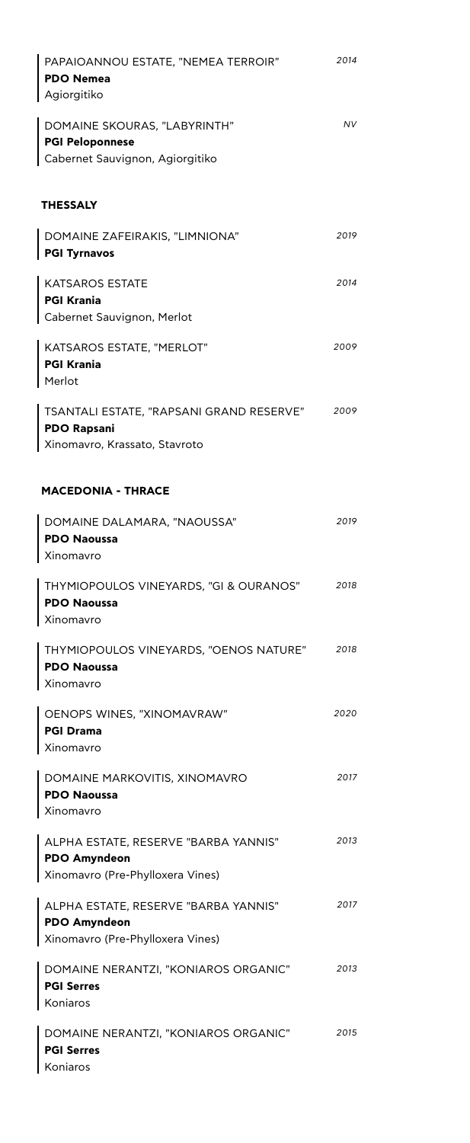| PAPAIOANNOU ESTATE, "NEMEA TERROIR"<br><b>PDO Nemea</b><br>Agiorgitiko                          | 2014 |
|-------------------------------------------------------------------------------------------------|------|
| DOMAINE SKOURAS, "LABYRINTH"<br><b>PGI Peloponnese</b><br>Cabernet Sauvignon, Agiorgitiko       | NV   |
| <b>THESSALY</b>                                                                                 |      |
| DOMAINE ZAFEIRAKIS, "LIMNIONA"<br><b>PGI Tyrnavos</b>                                           | 2019 |
| <b>KATSAROS ESTATE</b><br><b>PGI Krania</b><br>Cabernet Sauvignon, Merlot                       | 2014 |
| KATSAROS ESTATE, "MERLOT"<br><b>PGI Krania</b><br>Merlot                                        | 2009 |
| TSANTALI ESTATE, "RAPSANI GRAND RESERVE"<br><b>PDO Rapsani</b><br>Xinomavro, Krassato, Stavroto | 2009 |
| <b>MACEDONIA - THRACE</b>                                                                       |      |
| DOMAINE DALAMARA, "NAOUSSA"<br><b>PDO Naoussa</b><br>Xinomavro                                  | 2019 |
| THYMIOPOULOS VINEYARDS, "GI & OURANOS"<br><b>PDO Naoussa</b><br>Xinomavro                       | 2018 |
| THYMIOPOULOS VINEYARDS, "OENOS NATURE"<br><b>PDO Naoussa</b><br>Xinomavro                       | 2018 |
| OENOPS WINES, "XINOMAVRAW"<br><b>PGI Drama</b><br>Xinomavro                                     | 2020 |
| DOMAINE MARKOVITIS, XINOMAVRO<br><b>PDO Naoussa</b><br>Xinomavro                                | 2017 |
| ALPHA ESTATE, RESERVE "BARBA YANNIS"<br><b>PDO Amyndeon</b><br>Xinomavro (Pre-Phylloxera Vines) | 2013 |
| ALPHA ESTATE, RESERVE "BARBA YANNIS"<br><b>PDO Amyndeon</b><br>Xinomavro (Pre-Phylloxera Vines) | 2017 |
| DOMAINE NERANTZI, "KONIAROS ORGANIC"<br><b>PGI Serres</b><br>Koniaros                           | 2013 |
| DOMAINE NERANTZI, "KONIAROS ORGANIC"<br>PGI Serres<br>Koniaros                                  | 2015 |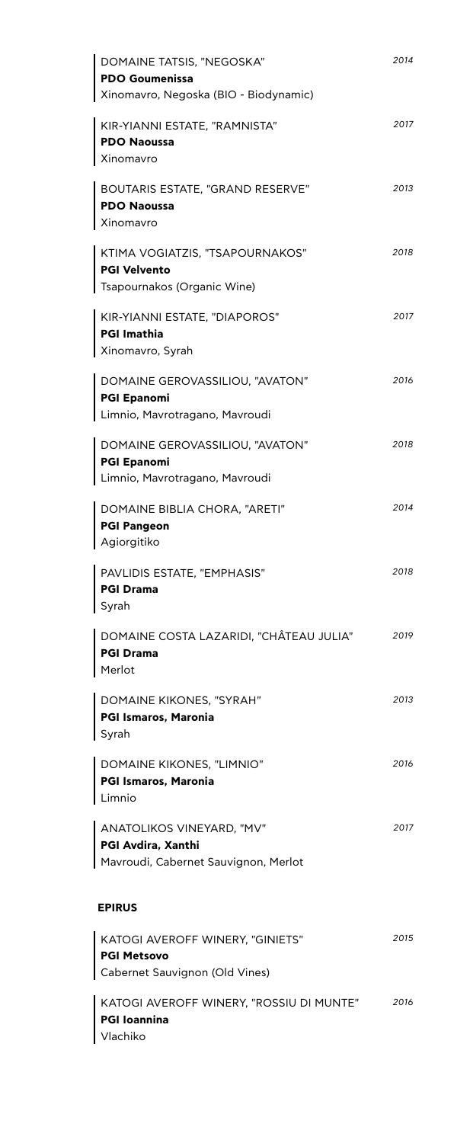| DOMAINE TATSIS, "NEGOSKA"<br>PDO Goumenissa<br>  Xinomavro, Negoska (BIO - Biodynamic)   | 2014 |
|------------------------------------------------------------------------------------------|------|
| KIR-YIANNI ESTATE, "RAMNISTA"<br><b>PDO Naoussa</b><br>  Xinomavro                       | 2017 |
| BOUTARIS ESTATE, "GRAND RESERVE"<br><b>PDO Naoussa</b><br>  Xinomavro                    | 2013 |
| KTIMA VOGIATZIS, "TSAPOURNAKOS"<br>PGI Velvento<br>  Tsapournakos (Organic Wine)         | 2018 |
| KIR-YIANNI ESTATE, "DIAPOROS"<br>PGI Imathia<br>  Xinomavro, Syrah                       | 2017 |
| DOMAINE GEROVASSILIOU, "AVATON"<br>PGI Epanomi<br>Limnio, Mavrotragano, Mavroudi         | 2016 |
| DOMAINE GEROVASSILIOU, "AVATON"<br>PGI Epanomi<br>Limnio, Mavrotragano, Mavroudi         | 2018 |
| DOMAINE BIBLIA CHORA, "ARETI"<br><b>PGI Pangeon</b><br>Agiorgitiko                       | 2014 |
| PAVLIDIS ESTATE, "EMPHASIS"<br>PGI Drama<br>Syrah                                        | 2018 |
| DOMAINE COSTA LAZARIDI, "CHÂTEAU JULIA"<br><b>PGI Drama</b><br>Merlot                    | 2019 |
| DOMAINE KIKONES, "SYRAH"<br>PGI Ismaros, Maronia<br>Syrah                                | 2013 |
| DOMAINE KIKONES, "LIMNIO"<br>PGI Ismaros, Maronia<br>Limnio                              | 2016 |
| ANATOLIKOS VINEYARD, "MV"<br>PGI Avdira, Xanthi<br>Mavroudi, Cabernet Sauvignon, Merlot  | 2017 |
| <b>EPIRUS</b>                                                                            |      |
| KATOGI AVEROFF WINERY, "GINIETS"<br><b>PGI Metsovo</b><br>Cabernet Sauvignon (Old Vines) | 2015 |
| KATOGI AVEROFF WINERY, "ROSSIU DI MUNTE"<br><b>PGI Ioannina</b>                          | 2016 |

Vlachiko